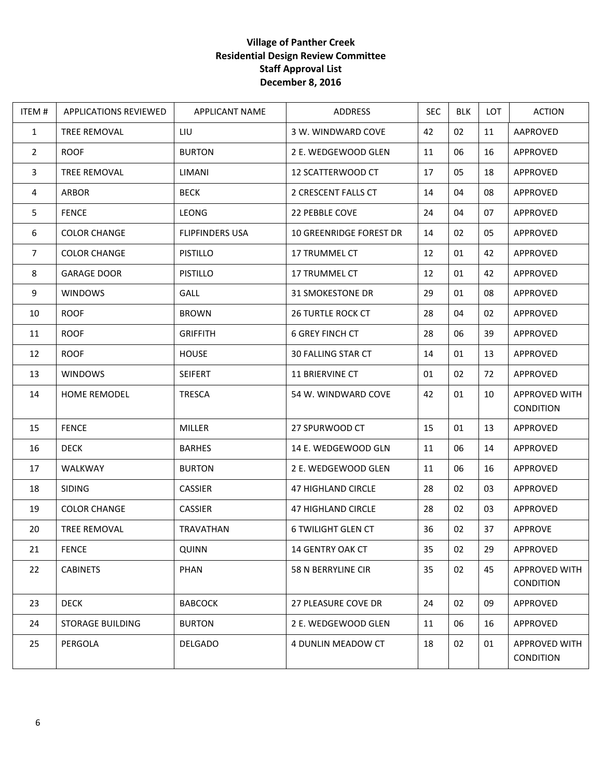## **Village of Panther Creek Residential Design Review Committee Staff Approval List December 8, 2016**

| ITEM #         | <b>APPLICATIONS REVIEWED</b> | <b>APPLICANT NAME</b>  | ADDRESS                        | <b>SEC</b> | BLK | LOT | <b>ACTION</b>                     |
|----------------|------------------------------|------------------------|--------------------------------|------------|-----|-----|-----------------------------------|
| $\mathbf{1}$   | TREE REMOVAL                 | LIU                    | 3 W. WINDWARD COVE             | 42         | 02  | 11  | AAPROVED                          |
| 2              | <b>ROOF</b>                  | <b>BURTON</b>          | 2 E. WEDGEWOOD GLEN            | 11         | 06  | 16  | APPROVED                          |
| $\overline{3}$ | TREE REMOVAL                 | LIMANI                 | 12 SCATTERWOOD CT              | 17         | 05  | 18  | APPROVED                          |
| 4              | <b>ARBOR</b>                 | <b>BECK</b>            | 2 CRESCENT FALLS CT            | 14         | 04  | 08  | APPROVED                          |
| 5              | <b>FENCE</b>                 | LEONG                  | 22 PEBBLE COVE                 | 24         | 04  | 07  | APPROVED                          |
| 6              | <b>COLOR CHANGE</b>          | <b>FLIPFINDERS USA</b> | <b>10 GREENRIDGE FOREST DR</b> | 14         | 02  | 05  | APPROVED                          |
| $\overline{7}$ | <b>COLOR CHANGE</b>          | <b>PISTILLO</b>        | 17 TRUMMEL CT                  | 12         | 01  | 42  | APPROVED                          |
| 8              | <b>GARAGE DOOR</b>           | <b>PISTILLO</b>        | 17 TRUMMEL CT                  | 12         | 01  | 42  | APPROVED                          |
| 9              | <b>WINDOWS</b>               | GALL                   | <b>31 SMOKESTONE DR</b>        | 29         | 01  | 08  | APPROVED                          |
| 10             | <b>ROOF</b>                  | <b>BROWN</b>           | <b>26 TURTLE ROCK CT</b>       | 28         | 04  | 02  | APPROVED                          |
| 11             | <b>ROOF</b>                  | <b>GRIFFITH</b>        | <b>6 GREY FINCH CT</b>         | 28         | 06  | 39  | APPROVED                          |
| 12             | <b>ROOF</b>                  | <b>HOUSE</b>           | <b>30 FALLING STAR CT</b>      | 14         | 01  | 13  | APPROVED                          |
| 13             | <b>WINDOWS</b>               | <b>SEIFERT</b>         | 11 BRIERVINE CT                | 01         | 02  | 72  | APPROVED                          |
| 14             | <b>HOME REMODEL</b>          | <b>TRESCA</b>          | 54 W. WINDWARD COVE            | 42         | 01  | 10  | APPROVED WITH<br><b>CONDITION</b> |
| 15             | <b>FENCE</b>                 | MILLER                 | 27 SPURWOOD CT                 | 15         | 01  | 13  | APPROVED                          |
| 16             | <b>DECK</b>                  | <b>BARHES</b>          | 14 E. WEDGEWOOD GLN            | 11         | 06  | 14  | APPROVED                          |
| 17             | WALKWAY                      | <b>BURTON</b>          | 2 E. WEDGEWOOD GLEN            | 11         | 06  | 16  | APPROVED                          |
| 18             | <b>SIDING</b>                | CASSIER                | 47 HIGHLAND CIRCLE             | 28         | 02  | 03  | APPROVED                          |
| 19             | <b>COLOR CHANGE</b>          | <b>CASSIER</b>         | 47 HIGHLAND CIRCLE             | 28         | 02  | 03  | APPROVED                          |
| 20             | TREE REMOVAL                 | TRAVATHAN              | <b>6 TWILIGHT GLEN CT</b>      | 36         | 02  | 37  | APPROVE                           |
| 21             | <b>FENCE</b>                 | QUINN                  | 14 GENTRY OAK CT               | 35         | 02  | 29  | APPROVED                          |
| 22             | <b>CABINETS</b>              | PHAN                   | 58 N BERRYLINE CIR             | 35         | 02  | 45  | APPROVED WITH<br><b>CONDITION</b> |
| 23             | <b>DECK</b>                  | <b>BABCOCK</b>         | 27 PLEASURE COVE DR            | 24         | 02  | 09  | APPROVED                          |
| 24             | <b>STORAGE BUILDING</b>      | <b>BURTON</b>          | 2 E. WEDGEWOOD GLEN            | 11         | 06  | 16  | APPROVED                          |
| 25             | PERGOLA                      | <b>DELGADO</b>         | 4 DUNLIN MEADOW CT             | 18         | 02  | 01  | APPROVED WITH<br><b>CONDITION</b> |